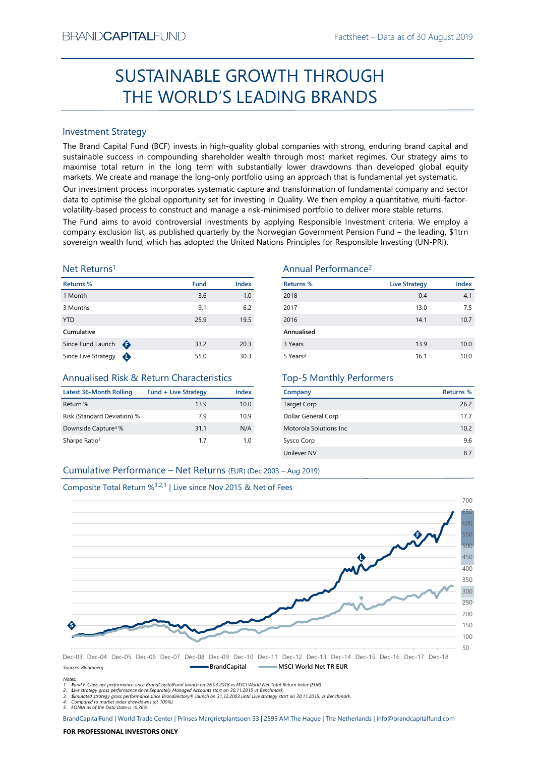# Factsheet – Data as of 30 August 2019<br>
COUGH SUSTAINABLE GROWTH THROUGH THE WORLD'S LEADING BRANDS

# Investment Strategy

SUSTAINABLE GROWTH THROUGH<br>
THE WORLD'S LEADING BRANDS<br>
Investment Strategy<br>
Investment Strategy<br>
Investment Strategy<br>
Investment Strategy and Capital Fund (BCF) invests in high-quality global companies with strong, endur SUSTAINABLE GROWTH THROUGH<br>
THE WORLD'S LEADING BRANDS<br>
Investment Strategy<br>
The Brand Capital Fund (8CF) invests in high-quality global companies with strong, enduring brand capital and<br>
systemable success in componentin SUSIAINABLE GROWIH IHROUGH<br>
THE WORLD'S LEADING BRANDS<br>
Investment Strategy<br>
The Brand Gapital Fund (BCF) invests in high-quality global comparies with strong, enduring brand capital and<br>
maximise to calculate turn in the THE WORLD'S LEADING BRANDS<br>
Investment Strategy<br>
The Brand Capital Fund (BCF) invests in high-quality global companies with strong, enduring brand capital and<br>
the Brand Capital Fund (BCF) invests in high-quality global c Investment Strategy<br>
The Brand Capital Fund (BCF) invests in high-quality global companies with strong, enduring brand capital and<br>
sustainable success in compounding shareholder wealth through most market regimes. Our str Investment Strategy<br>
Since Europe Since Comparison (ICCF) invests in high-quality global companies with strong, enduring brand Capital and<br>
Sustrainable success in compounding shareholder wealth through most market regimes BRAND**CAPITAL**FUND<br>
Factsheet – Data as of 30 August 2019<br> **SUSTAINABLE GROWTH THROUGH**<br> **THE WORLD'S LEADING BRANDS**<br>
Investment Strategy<br>
Investment Strategy<br>
Investment Strategy<br>
Investment Strategy<br>
Investment Strategy  $\begin{array}{c} \text{Backheet-Data as of 30 August 2019} \\ \text{SUSTAINABLE GROWTH THROUGH} \\ \text{THE WORKed by the Grand Capital FOMS} \\ \text{The two RLD'S LEADING's MMDS} \\ \text{The Band Capital Fund (BCF) invests in high-quality global companies with strong, ending brand capital and sustainable success in compounding starholder wealth through most market regimes. Our strategy aims to make a few many markets. We create and manage the long-only portfolio using an approach that is fundamental yet symmetric. Our investment process incorporates systematic capture and transformation of fundamental company and sector of uncertainty. You can be to optimize the global opportunity based process to construct and manage a risk-minimised portfolio to deliver more stable returns. \end{array}$ ESTAIN THE WORLD'S LEADING Factsheet – Data as of 30 August 2019<br>
SUSTAIN ABLE GROWTH THROUGH<br>
THE WORLD'S LEADING BRANDS<br>
Investment Strategy<br>
The Brand Capital Fund (BCF) invests in high-quality global companies with str Factsheet – Data as of 30 August 2019<br>
SUSTAINABLE GROWTH THROUGH<br>
THE WORLD'S LEADING BRANDS<br>
Investment Strategy<br>
Investment Strategy<br>
Investment Strategy<br>
Investment Strategy<br>
Investment Strategy<br>
Investment Strategy<br>
I EXANDCAPITALFUND<br>
Factsheet – Data as of 30 August 2019<br>
SUSTAINABLE GROWTH THROUGH<br>
THE WORLD'S LEADING BRANDS<br>
Investment Strategy<br>
Investment Strategy<br>
Investment Strategy<br>
Sustainable success in compounding shareholder BRANDCAPITALFUND<br>
SUSTAINABLE GROWTH THROUGH<br>
THE WORLD'S LEADING BRANDS<br>
Investment Strategy<br>
In the Brand Capital Furd (BCF) invests in high-quality global companies with strong, enduring brand capital and<br>
sustainable s BRANDCAPITALFUND<br>
SUSTAINABLE GROWTH THROUGH<br>
THE WORLD'S LEADING BRANDS<br>
Investment Strategy<br>
Interactional Cecilis and Capital Fund (BCF) invests in high-quality global companies with strong, enduring brand capital and<br> BRANDCAPITALFUND<br>
SUSTAINABLE GROWTH THROUGH<br>
THE WORLD'S LEADING BRANDS<br>
Investment Strategy<br>
The Brand Gapital Fund (BCF) invests in high-quality global companies with strong, enduring brand capital and<br>
sustainable succ BRANDCAPITALFUND<br>
SUSTAINABLE GROWTH THROUGH<br>
THE WORLD'S LEADING BRANDS<br>
Investment Strategy<br>
The Brand Capital Fund (BCF) invests in high-quality global companies with strong, enduring brand capital and<br>
maximize to con BRANDCAPITALFUND<br>
SUSTAINABLE GROWTH THROUGH<br>
THE WORLD'S LEADING BRANDS<br>
Investment Strategy<br>
Investment Strategy<br>
Investign and Capital Trump (CCF) invests in high-quality global companies with strong, enduring brand cap

# Net Returns1

| Returns %           |   | <b>Fund</b> | <b>Index</b> |
|---------------------|---|-------------|--------------|
| 1 Month             |   | 3.6         | $-1.0$       |
| 3 Months            |   | 9.1         | 6.2          |
| <b>YTD</b>          |   | 25.9        | 19.5         |
| Cumulative          |   |             |              |
| Since Fund Launch   | ⊕ | 33.2        | 20.3         |
| Since Live Strategy |   | 55.0        | 30.3         |

# Annualised Risk & Return Characteristics

| Latest 36-Month Rolling         | <b>Fund + Live Strategy</b> | Index |
|---------------------------------|-----------------------------|-------|
| Return %                        | 139                         | 10.0  |
| Risk (Standard Deviation) %     | 79                          | 10.9  |
| Downside Capture <sup>4</sup> % | 31.1                        | N/A   |
| Sharpe Ratio <sup>5</sup>       | 17                          | 1 ດ   |

# Annual Performance2

|                                                                               |                             |        | <b>SUSTAINABLE GROWTH THROUGH</b>                                                                                                                                                                                                                                                                                                                                                                                                                                                                                                                                                                                                                                                            |                      |                  |
|-------------------------------------------------------------------------------|-----------------------------|--------|----------------------------------------------------------------------------------------------------------------------------------------------------------------------------------------------------------------------------------------------------------------------------------------------------------------------------------------------------------------------------------------------------------------------------------------------------------------------------------------------------------------------------------------------------------------------------------------------------------------------------------------------------------------------------------------------|----------------------|------------------|
|                                                                               |                             |        | THE WORLD'S LEADING BRANDS                                                                                                                                                                                                                                                                                                                                                                                                                                                                                                                                                                                                                                                                   |                      |                  |
| <b>Investment Strategy</b>                                                    |                             |        |                                                                                                                                                                                                                                                                                                                                                                                                                                                                                                                                                                                                                                                                                              |                      |                  |
|                                                                               |                             |        | The Brand Capital Fund (BCF) invests in high-quality global companies with strong, enduring brand capital and<br>sustainable success in compounding shareholder wealth through most market regimes. Our strategy aims to<br>maximise total return in the long term with substantially lower drawdowns than developed global equity<br>markets. We create and manage the long-only portfolio using an approach that is fundamental yet systematic.                                                                                                                                                                                                                                            |                      |                  |
|                                                                               |                             |        | Our investment process incorporates systematic capture and transformation of fundamental company and sector<br>data to optimise the global opportunity set for investing in Quality. We then employ a quantitative, multi-factor-<br>volatility-based process to construct and manage a risk-minimised portfolio to deliver more stable returns.<br>The Fund aims to avoid controversial investments by applying Responsible Investment criteria. We employ a<br>company exclusion list, as published quarterly by the Norwegian Government Pension Fund - the leading, \$1trn<br>sovereign wealth fund, which has adopted the United Nations Principles for Responsible Investing (UN-PRI). |                      |                  |
| Net Returns <sup>1</sup>                                                      |                             |        | Annual Performance <sup>2</sup>                                                                                                                                                                                                                                                                                                                                                                                                                                                                                                                                                                                                                                                              |                      |                  |
| <b>Returns %</b>                                                              | <b>Fund</b>                 | Index  | <b>Returns %</b>                                                                                                                                                                                                                                                                                                                                                                                                                                                                                                                                                                                                                                                                             | <b>Live Strategy</b> | Index            |
| 1 Month                                                                       | 3.6                         | $-1.0$ | 2018                                                                                                                                                                                                                                                                                                                                                                                                                                                                                                                                                                                                                                                                                         | 0.4                  | $-4.1$           |
| 3 Months                                                                      | 9.1                         | 6.2    | 2017                                                                                                                                                                                                                                                                                                                                                                                                                                                                                                                                                                                                                                                                                         | 13.0                 | 7.5              |
| YTD                                                                           | 25.9                        | 19.5   | 2016                                                                                                                                                                                                                                                                                                                                                                                                                                                                                                                                                                                                                                                                                         | 14.1                 | 10.7             |
| Cumulative                                                                    |                             |        | Annualised                                                                                                                                                                                                                                                                                                                                                                                                                                                                                                                                                                                                                                                                                   |                      |                  |
| Since Fund Launch $\bigoplus$                                                 | 33.2                        | 20.3   | 3 Years                                                                                                                                                                                                                                                                                                                                                                                                                                                                                                                                                                                                                                                                                      | 13.9                 | 10.0             |
| Since Live Strategy $\bigoplus$<br>Annualised Risk & Return Characteristics   | 55.0                        | 30.3   | 5 Years <sup>3</sup><br><b>Top-5 Monthly Performers</b>                                                                                                                                                                                                                                                                                                                                                                                                                                                                                                                                                                                                                                      | 16.1                 | 10.0             |
| <b>Latest 36-Month Rolling</b>                                                | <b>Fund + Live Strategy</b> | Index  | Company                                                                                                                                                                                                                                                                                                                                                                                                                                                                                                                                                                                                                                                                                      |                      | <b>Returns %</b> |
| Return %                                                                      | 13.9                        | 10.0   | Target Corp                                                                                                                                                                                                                                                                                                                                                                                                                                                                                                                                                                                                                                                                                  |                      | 26.2             |
| Risk (Standard Deviation) %                                                   | 7.9                         | 10.9   | Dollar General Corp                                                                                                                                                                                                                                                                                                                                                                                                                                                                                                                                                                                                                                                                          |                      | 17.7             |
| Downside Capture <sup>4</sup> %                                               | 31.1                        | N/A    | Motorola Solutions Inc                                                                                                                                                                                                                                                                                                                                                                                                                                                                                                                                                                                                                                                                       |                      | 10.2             |
| Sharpe Ratio <sup>5</sup>                                                     | 1.7                         | 1.0    | Sysco Corp                                                                                                                                                                                                                                                                                                                                                                                                                                                                                                                                                                                                                                                                                   |                      | 9.6              |
|                                                                               |                             |        | Unilever NV                                                                                                                                                                                                                                                                                                                                                                                                                                                                                                                                                                                                                                                                                  |                      | 8.7              |
| Cumulative Performance - Net Returns (EUR) (Dec 2003 - Aug 2019)              |                             |        |                                                                                                                                                                                                                                                                                                                                                                                                                                                                                                                                                                                                                                                                                              |                      |                  |
|                                                                               |                             |        |                                                                                                                                                                                                                                                                                                                                                                                                                                                                                                                                                                                                                                                                                              |                      |                  |
| Composite Total Return % <sup>3,2,1</sup>   Live since Nov 2015 & Net of Fees |                             |        |                                                                                                                                                                                                                                                                                                                                                                                                                                                                                                                                                                                                                                                                                              |                      |                  |
|                                                                               |                             |        |                                                                                                                                                                                                                                                                                                                                                                                                                                                                                                                                                                                                                                                                                              |                      | 700              |
|                                                                               |                             |        |                                                                                                                                                                                                                                                                                                                                                                                                                                                                                                                                                                                                                                                                                              |                      |                  |
|                                                                               |                             |        |                                                                                                                                                                                                                                                                                                                                                                                                                                                                                                                                                                                                                                                                                              |                      |                  |

# Top-5 Monthly Performers

| Company                 | Returns % |
|-------------------------|-----------|
| <b>Target Corp</b>      | 26.2      |
| Dollar General Corp     | 17.7      |
| Motorola Solutions Inc. | 10.2      |
| Sysco Corp              | 9.6       |
| Unilever NV             | 8.7       |
|                         |           |



Sources: Bloomberg

5. EONIA as of the Data Date is -0.36%.

Notes:

<sup>1.</sup> Fund F-Class net performance since BrandCapitalFund launch on 26.03.2018 vs MSCI World Net Total Return Index (EUR).

<sup>2.</sup> Live strategy gross performance since Separately Managed Accounts start on 30.11.2015 vs Benchmark.<br>3. Simulated strategy gross performance since Brandirectory® launch on 31.12.2003 until Live strategy start on 30.11.20